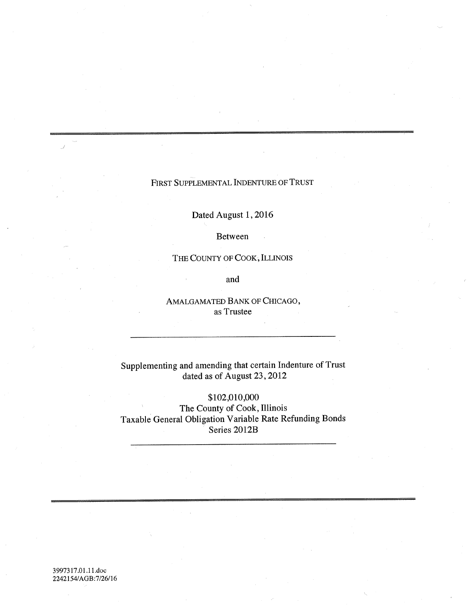# FIRST SUPPLEMENTAL INDENTURE OF TRUST

Dated August 1,2016

Between

THE COUNTY OF COOK, ILLINOIS

and

AMALGAMATED BANK OF CHICAGO, as Trustee

Supplementing and amending that certain Indenture of Trust dated as of August 23, 2012

\$102,010,000 The County of Cook, Illinois Taxable General Obligation Variable Rate Refunding Bonds Series 2012B

3997317.01.1l.doc *2242154/AGB:7/26/16*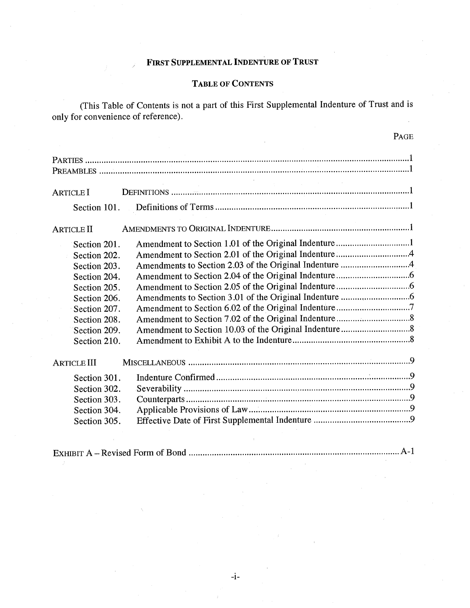# FIRST SUPPLEMENTAL INDENTURE OF TRUST

# TABLE OF CONTENTS

(This Table of Contents is not a part of this First Supplemental Indenture of Trust and is only for convenience of reference).

 $\mathbf{p}$ .  $\mathbf{q}$ 

|                    | <b>PAGE</b>                                                                                                             |
|--------------------|-------------------------------------------------------------------------------------------------------------------------|
|                    |                                                                                                                         |
| <b>ARTICLE I</b>   | $\mathcal{L}_{\text{eff}}$ and $\mathcal{L}_{\text{eff}}$ and $\mathcal{L}_{\text{eff}}$ and $\mathcal{L}_{\text{eff}}$ |
| Section 101.       |                                                                                                                         |
| <b>ARTICLE II</b>  |                                                                                                                         |
| Section 201.       | Amendment to Section 1.01 of the Original Indenture1                                                                    |
| Section 202.       |                                                                                                                         |
| Section 203.       |                                                                                                                         |
| Section 204.       |                                                                                                                         |
| Section 205.       |                                                                                                                         |
| Section 206.       |                                                                                                                         |
| Section 207.       |                                                                                                                         |
| Section 208.       |                                                                                                                         |
| Section 209.       |                                                                                                                         |
| Section 210.       |                                                                                                                         |
| <b>ARTICLE III</b> |                                                                                                                         |
| Section 301.       |                                                                                                                         |
| Section 302.       |                                                                                                                         |
| Section 303.       |                                                                                                                         |
| Section 304.       |                                                                                                                         |
| Section 305.       |                                                                                                                         |
|                    |                                                                                                                         |

EXHIBIT A - Revised Form of Bond A-I

-i-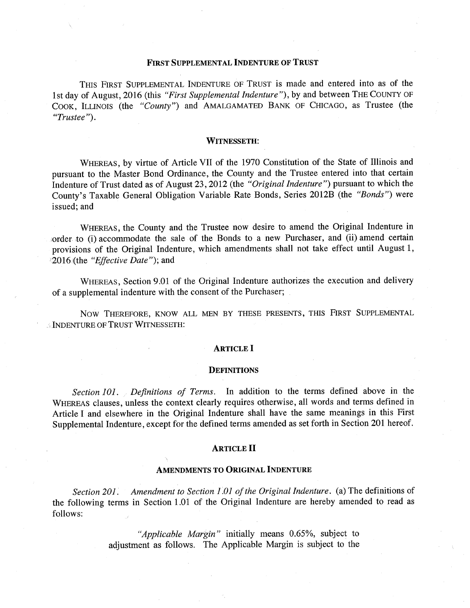### FIRST SUPPLEMENTAL INDENTURE OF TRUST

THIS FIRST SUPPLEMENTAL INDENTURE OF TRUST is made and entered into as of the 1st day of August, 2016 (this *"First Supplemental Indenture"),* by and between THE COUNTY OF COOK, ILLINOIS (the *"County")* and AMALGAMATED BANK OF CHICAGO, as Trustee (the *"Trustee ").* 

#### WITNESSETH:

WHEREAS, by virtue of Article VII of the 1970 Constitution of the State of Illinois and pursuant to the Master Bond Ordinance, the County and the Trustee entered into that certain Indenture of Trust dated as of August 23,2012 (the *"Original Indenture")* pursuant to which the County's Taxable General Obligation Variable Rate Bonds, Series 2012B (the *"Bonds")* were issued; and

WHEREAS, the County and the Trustee now desire to amend the Original Indenture in order to (i) accommodate the sale of the Bonds to a new Purchaser, and (ii) amend certain provisions of the Original Indenture, which amendments shall not take effect until August 1, 2016(the *"Effective Date");* and

WHEREAS, Section 9.01 of the Original Indenture authorizes the execution and delivery of a supplemental indenture with the consent of the Purchaser;

Now THEREFORE, KNOW ALL MEN BY THESE PRESENTS, THIS FIRST SUPPLEMENTAL . INDENTURE OF TRUST WITNESSETH:

#### ARTICLE I

#### **DEFINITIONS**

*Section 101. Definitions of Terms.* In addition to the terms defined above in the WHEREAS clauses, unless the context clearly requires otherwise, all words and terms defined in Article I and elsewhere in the Original Indenture shall have the same meanings in this First Supplemental Indenture, except for the defined terms amended as set forth in Section 201 hereof.

#### ARTICLE II

#### AMENDMENTS TO ORIGINAL INDENTURE

*Section 201. Amendment to Section 1.01 of the Original Indenture.* (a) The definitions of the following terms in Section 1.01 of the Original Indenture are hereby amended to read as follows:

> *"Applicable Margin"* initially means 0.65%, subject to adjustment as follows. The Applicable Margin is subject to the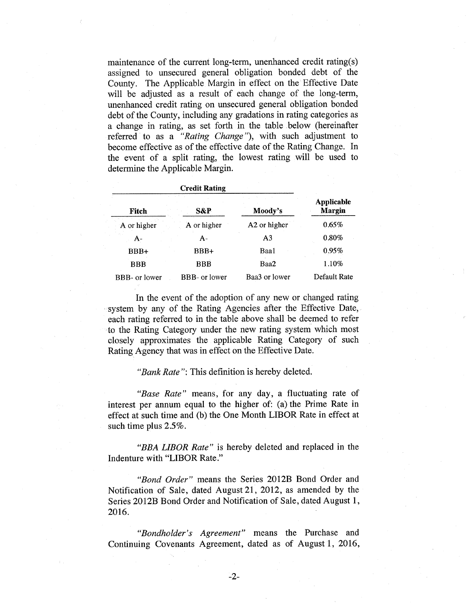maintenance of the current long-term, unenhanced credit rating(s) assigned to unsecured general obligation bonded debt of the County. The Applicable Margin in effect on the Effective Date will be adjusted as a result of each change of the long-term, unenhanced credit rating on unsecured general obligation bonded debt of the County, including any gradations in rating categories as a change in rating, as set forth in the table below (hereinafter referred to as a *"Rating Change "),* with such adjustment to become effective as of the effective date of the Rating Change. In the event of a split rating, the lowest rating will be used to determine the Applicable Margin.

| Fitch         | S&P           | Moody's        | <b>Applicable</b><br><b>Margin</b> |
|---------------|---------------|----------------|------------------------------------|
| A or higher   | A or higher   | A2 or higher   | 0.65%                              |
| A-            | A-            | A <sub>3</sub> | 0.80%                              |
| BBB+          | BBB+          | Baa1           | 0.95%                              |
| <b>BBB</b>    | <b>BBB</b>    | Baa2           | 1.10%                              |
| BBB- or lower | BBB- or lower | Baa3 or lower  | Default Rate                       |

In the event of the adoption of any new or changed rating system by any of the Rating Agencies after the Effective Date, each rating referred to in the table above shall be deemed to refer to the Rating Category under the new rating system which most closely approximates the applicable Rating Category of such Rating Agency that was in effect on the Effective Date.

*"Bank Rate":* This definition is hereby deleted.

*"Base Rate"* means, for any day, a fluctuating rate of interest per annum equal to the higher of: (a) the Prime Rate in effect at such time and (b) the One Month LIBOR Rate in effect at such time plus 2.5%.

*"BBA LIBOR Rate"* is hereby deleted and replaced in the Indenture with "LIBOR Rate."

*"Bond Order"* means the Series 2012B Bond Order and Notification of Sale, dated August 21, 2012, as amended by the Series 2012B Bond Order and Notification of Sale, dated August 1, 2016.

*"Bondholder's Agreement"* means the Purchase and Continuing Covenants Agreement, dated as of August 1, 2016,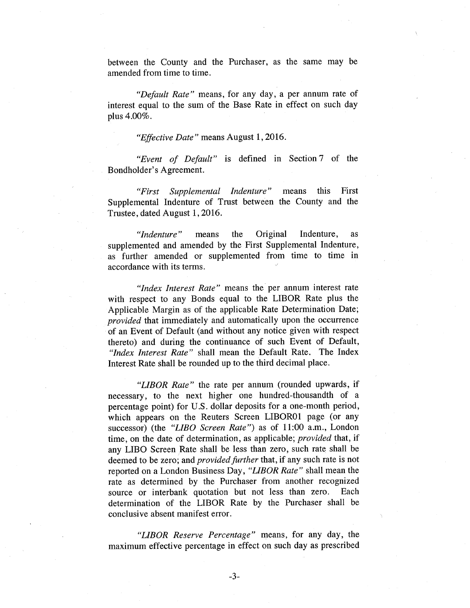between the County and the Purchaser, as the same may be amended from time to time.

*"Default Rate"* means, for any day, a per annum rate of interest equal to the sum of the Base Rate in effect on such day plus 4.00%.

*"Effective Date"* means August 1,2016.

*"Event of Default"* is defined in Section 7 of the Bondholder's Agreement.

*"First Supplemental Indenture"* means this First Supplemental Indenture of Trust between the County and the Trustee, dated August 1,2016.

*"Indenture"* means the Original Indenture, as supplemented and amended by the First Supplemental Indenture, as further amended or supplemented from time to time in accordance with its terms.

*"Index Interest Rate"* means the per annum interest rate with respect to any Bonds equal to the LIBOR Rate plus the Applicable Margin as of the applicable Rate Determination Date; *provided* that immediately and automatically upon the occurrence of an Event of Default (and without any notice given with respect thereto) and during the continuance of such Event of Default, *"Index Interest Rate"* shall mean the Default Rate. The Index Interest Rate shall be rounded up to the third decimal place.

*"LIBOR Rate"* the rate per annum (rounded upwards, if necessary, to the next higher one hundred-thousandth of a percentage point) for U.S. dollar deposits for a one-month period, which appears on the Reuters Screen LIBOR01 page (or any successor) (the *"LIBO Screen Rate")* as of 11:00 a.m., London time, on the date of determination, as applicable; *provided* that, if any LIBO Screen Rate shall be less than zero, such rate shall be deemed to be zero; and *provided further* that, if any such rate is not reported on a London Business Day, *"LIB OR Rate"* shall mean the rate as determined by the Purchaser from another recognized source or interbank quotation but not less than zero. Each determination of the LIBOR Rate by the Purchaser shall be conclusive absent manifest error.

*"LIBOR Reserve Percentage"* means, for any day, the maximum effective percentage in effect on such day as prescribed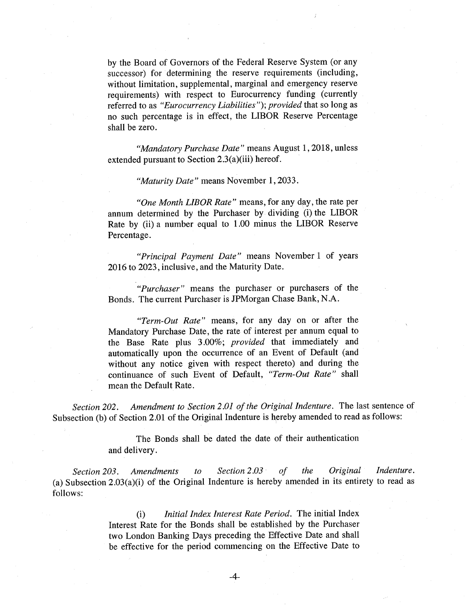by the Board of Governors of the Federal Reserve System (or any successor) for determining the reserve requirements (including, without limitation, supplemental, marginal and emergency reserve requirements) with respect to Eurocurrency funding (currently referred to as *"Eurocurrency Liabilities"); provided* that so long as no such percentage is in effect, the LIBOR Reserve Percentage shall be zero.

*"Mandatory Purchase Date"* means August 1,2018, unless extended pursuant to Section 2.3(a)(iii) hereof.

*"Maturity Date"* means November 1,2033.

*"One Month LIBOR Rate"* means, for any day, the rate per annum determined by the Purchaser by dividing (i) the LIBOR Rate by (ii) a number equal to 1.00 minus the LIBOR Reserve Percentage.

*"Principal Payment Date"* means November 1 of years 2016 to 2023, inclusive, and the Maturity Date.

*"Purchaser"* means the purchaser or purchasers of the Bonds. The current Purchaser is JPMorgan Chase Bank, N.A.

*"Term-Out Rate"* means, for any day on or after the Mandatory Purchase Date, the rate of interest per annum equal to the Base Rate plus 3.00%; *provided* that immediately and automatically upon the occurrence of an Event of Default (and without any notice given with respect thereto) and during the continuance of such Event of Default, *"Term-Out Rate"* shall mean the Default Rate.

*Section 202. Amendment to Section 2.01 of the Original Indenture.* The last sentence of Subsection (b) of Section 2.01 of the Original Indenture is hereby amended to read as follows:

> The Bonds shall be dated the date of their authentication and delivery.

*Section 203. Amendments to Section 2.03 of the Original Indenture.*  (a) Subsection 2.03(a)(i) of the Original Indenture is hereby amended in its entirety to read as follows:

> (i) *Initial Index Interest Rate Period.* The initial Index Interest Rate for the Bonds shall be established by the Purchaser two London Banking Days preceding the Effective Date and shall be effective for the period commencing on the Effective Date to

> > -4-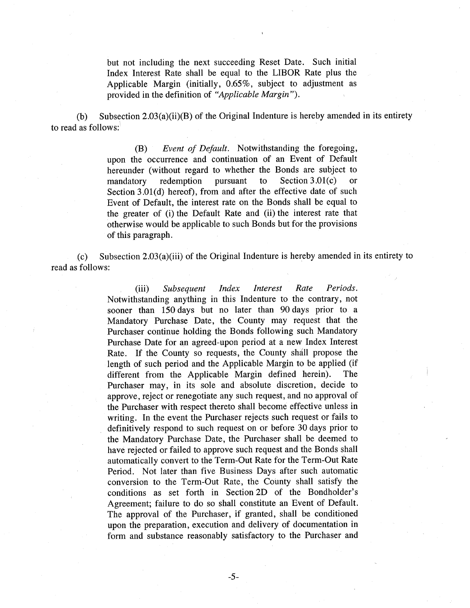but not including the next succeeding Reset Date. Such initial Index Interest Rate shall be equal to the LIBOR Rate plus the Applicable Margin (initially, 0.65%, subject to adjustment as provided in the definition of *"Applicable Margin").* 

(b) Subsection 2.03(a)(ii)(B) of the Original Indenture is hereby amended in its entirety to read as follows:

> (B) *Event of Default.* Notwithstanding the foregoing, upon the occurrence and continuation of an Event of Default hereunder (without regard to whether the Bonds are subject to mandatory redemption pursuant to Section 3.01(c) or Section 3.01(d) hereof), from and after the effective date of such Event of Default, the interest rate on the Bonds shall be equal to the greater of (i) the Default Rate and (ii) the interest rate that otherwise would be applicable to such Bonds but for the provisions of this paragraph.

(c) Subsection 2.03(a)(iii) of the Original Indenture is hereby amended in its entirety to read as follows:

> (iii) *Subsequent Index Interest Rate Periods.*  Notwithstanding anything in this Indenture to the contrary, not sooner than 150 days but no later than 90 days prior to a Mandatory Purchase Date, the County may request that the Purchaser continue holding the Bonds following such Mandatory Purchase Date for an agreed-upon period at a new Index Interest Rate. If the County so requests, the County shall propose the length of such period and the Applicable Margin to be applied (if different from the Applicable Margin defined herein). The Purchaser may, in its sole and absolute discretion, decide to approve, reject or renegotiate any such request, and no approval of the Purchaser with respect thereto shall become effective unless in writing. In the event the Purchaser rejects such request or fails to definitively respond to such request on or before 30 days prior to the Mandatory Purchase Date, the Purchaser shall be deemed to have rejected or failed to approve such request and the Bonds shall automatically convert to the Term-Out Rate for the Term-Out Rate Period. Not later than five Business Days after such automatic conversion to the Term-Out Rate, the County shall satisfy the conditions as set forth in Section 2D of the Bondholder's Agreement; failure to do so shall constitute an Event of Default. The approval of the Purchaser, if granted, shall be conditioned upon the preparation, execution and delivery of documentation in form and substance reasonably satisfactory to the Purchaser and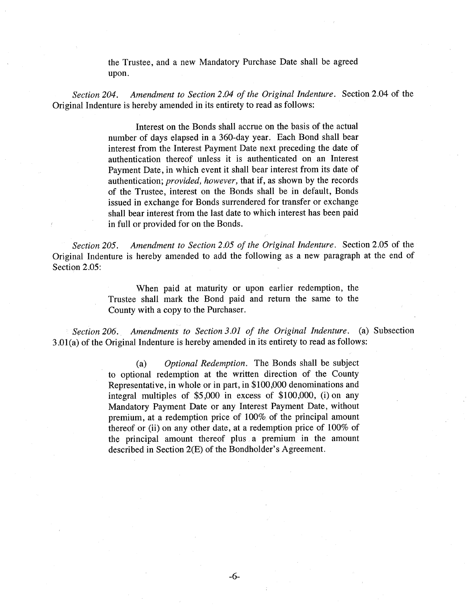the Trustee, and a new Mandatory Purchase Date shall be agreed upon.

*Section 204. Amendment to Section 2.04 of the Original Indenture.* Section 2.04 of the Original Indenture is hereby amended in its entirety to read as follows:

> Interest on the Bonds shall accrue on the basis of the actual number of days elapsed in a 360-day year. Each Bond shall bear interest from the Interest Payment Date next preceding the date of authentication thereof unless it is authenticated on an Interest Payment Date, in which event it shall bear interest from its date of authentication; *provided, however,* that if, as shown by the records of the Trustee, interest on the Bonds shall be in default, Bonds issued in exchange for Bonds surrendered for transfer or exchange shall bear interest from the last date to which interest has been paid in full or provided for on the Bonds.

*Section 205. Amendment to Section 2.05 of the Original Indenture.* Section 2.05 of the Original Indenture is hereby amended to add the following as a new paragraph at the end of Section 2.05:

> When paid at maturity or upon earlier redemption, the Trustee shall mark the Bond paid and return the same to the County with a copy to the Purchaser.

*Section 206. Amendments to Section 3.01 of the Original Indenture.* (a) Subsection 3 .Ol(a) of the Original Indenture is hereby amended in its entirety to read as follows:

> (a) *Optional Redemption.* The Bonds shall be subject to optional redemption at the written direction of the County Representative, in whole or in part, in \$100,000 denominations and integral multiples of \$5,000 in excess of \$100,000, (i) on any Mandatory Payment Date or any Interest Payment Date, without premium, at a redemption price of 100% of the principal amount thereof or (ii) on any other date, at a redemption price of 100% of the principal amount thereof plus a premium in the amount described in Section 2(E) of the Bondholder's Agreement.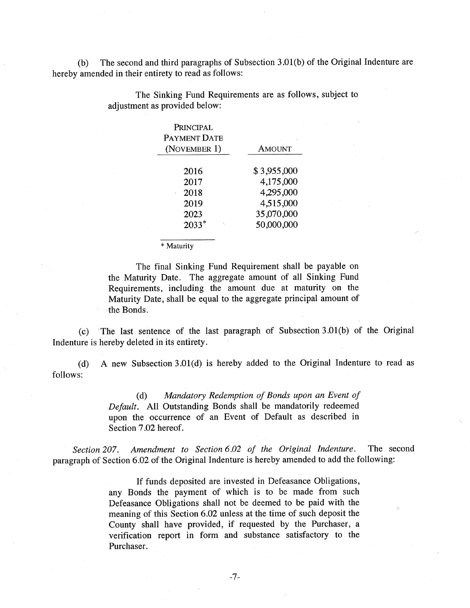(b) The second and third paragraphs of Subsection 3.01(b) of the Original Indenture are hereby amended in their entirety to read as follows:

| PRINCIPAL<br><b>PAYMENT DATE</b> |               |  |
|----------------------------------|---------------|--|
| (NOVEMBER 1)                     | <b>AMOUNT</b> |  |
| 2016                             | \$3,955,000   |  |
| 2017                             | 4,175,000     |  |
| 2018                             | 4,295,000     |  |
| 2019                             | 4,515,000     |  |
| 2023                             | 35,070,000    |  |
| $2033*$                          | 50,000,000    |  |

The Sinking Fund Requirements are as follows, subject to adjustment as provided below:

\* Maturity

The final Sinking Fund Requirement shall be payable on the Maturity Date. The aggregate amount of all Sinking Fund Requirements, including the amount due at maturity on the Maturity Date, shall be equal to the aggregate principal amount of the Bonds.

(c) The last sentence of the last paragraph of Subsection 3.01(b) of the Original Indenture is hereby deleted in its entirety.

(d) A new Subsection 3.01(d) is hereby added to the Original Indenture to read as follows:

> (d) *Mandatory Redemption of Bonds upon an Event of Default.* All Outstanding Bonds shall be mandatorily redeemed upon the occurrence of an Event of Default as described in Section 7.02 hereof.

*Section 207. Amendment to Section 6.02 of the Original Indenture.* The second paragraph of Section 6.02 of the Original Indenture is hereby amended to add the following:

> If funds deposited are invested in Defeasance Obligations, any Bonds the payment of which is to be made from such Defeasance Obligations shall not be deemed to be paid with the meaning of this Section 6.02 unless at the time of such deposit the County shall have provided, if requested by the Purchaser, a verification report in form and substance satisfactory to the Purchaser.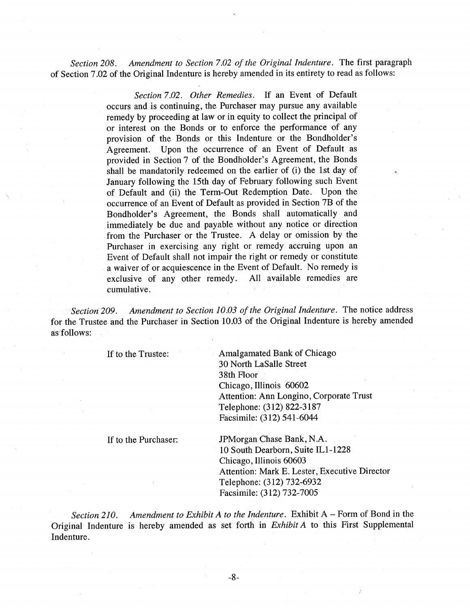Section 208. Amendment to Section 7.02 of the Original Indenture. The first paragraph of Section 7.02 of the Original Indenture is hereby amended in its entirety to read as follows:

> *Section 7.02. Other Remedies.* If an Event of Default occurs and is continuing, the Purchaser may pursue any available remedy by proceeding at law or in equity to collect the principal of or interest on the Bonds or to enforce the performance of any provision of the Bonds or this Indenture or the Bondholder's Agreement. Upon the occurrence of an Event of Default as provided in Section 7 of the Bondholder's Agreement, the Bonds shall be mandatorily redeemed on the earlier of (i) the 1st day of January following the 15th day of February following such Event of Default and (ii) the Term-Out Redemption Date. Upon the occurrence of an Event of Default as provided in Section 7B of the Bondholder's Agreement, the Bonds shall automatically and immediately be due and payable without any notice or direction from the Purchaser or the Trustee. A delay or omission by the Purchaser in exercising any right or remedy accruing upon an Event of Default shall not impair the right or remedy or constitute a waiver of or acquiescence in the Event of Default. No remedy is exclusive of any other remedy. All available remedies are exclusive of any other remedy. cumulative.

*Section 209.* Amendment to Section 10.03 of the Original Indenture. The notice address for the Trustee and the Purchaser in Section 10.03 of the Original Indenture is hereby amended as follows:

If to the Trustee: Amalgamated Bank of Chicago 30 North LaSalle Street 38th Floor Chicago, Illinois 60602 Attention: Ann Longino, Corporate Trust Telephone: (312) 822-3187 Facsimile: (312) 541-6044

If to the Purchaser: JPMorgan Chase Bank, NA. 10 South Dearborn, Suite ILI-1228 Chicago, Illinois 60603 Attention: Mark E. Lester, Executive Director Telephone: (312) 732-6932 Facsimile: (312) 732-7005

*Section 210.* Amendment to Exhibit A to the Indenture. Exhibit A – Form of Bond in the Original Indenture is hereby amended as set forth in *Exhibit A* to this First Supplemental Indenture.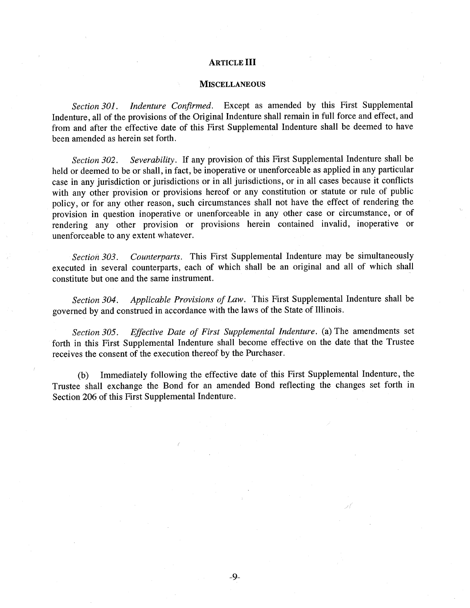### ARTICLE III

#### **MISCELLANEOUS**

*Section 301. Indenture Confirmed.* Except as amended by this First Supplemental Indenture, all of the provisions of the Original Indenture shall remain in full force and effect, and from and after the effective date of this First Supplemental Indenture shall be deemed to have been amended as herein set forth.

*Section 302. Severability.* If any provision of this First Supplemental Indenture shall be held or deemed to be or shall, in fact, be inoperative or unenforceable as applied in any particular case in any jurisdiction or jurisdictions or in all jurisdictions, or in all cases because it conflicts with any other provision or provisions hereof or any constitution or statute or rule of public policy, or for any other reason, such circumstances shall not have the effect of rendering the provision in question inoperative or unenforceable in any other case or circumstance, or of rendering any other provision or provisions herein contained invalid, inoperative or unenforceable to any extent whatever.

*Section 303. Counterparts.* This First Supplemental Indenture may be simultaneously executed in several counterparts, each of which shall be an original and all of which shall constitute but one and the same instrument.

*Section 304. Applicable Provisions of Law.* This First Supplemental Indenture shall be governed by and construed in accordance with the laws of the State of Illinois.

*Section 305. Effective Date of First Supplemental Indenture.* (a) The amendments set forth in this First Supplemental Indenture shall become effective on the date that the Trustee receives the consent of the execution thereof by the Purchaser.

(b) Immediately following the effective date of this First Supplemental Indenture, the Trustee shall exchange the Bond for an amended Bond reflecting the changes set forth in Section 206 of this First Supplemental Indenture.

-9-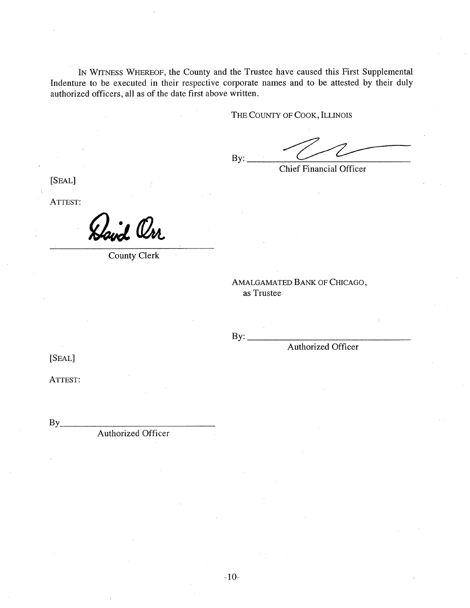IN WITNESS WHEREOF, the County and the Trustee have caused this First Supplemental Indenture to be executed in their respective corporate names and to be attested by their duly authorized officers, all as of the date first above written.

THE COUNTY OF COOK, ILLINOIS

 $By:$ 

Chief Financial Officer

[SEAL]

ATTEST:

Havd Orr

County Clerk

AMALGAMATED BANK OF CHICAGO, as Trustee

 $By:$ 

Authorized Officer

[SEAL]

ATTEST:

 $Bv$ 

Authorized Officer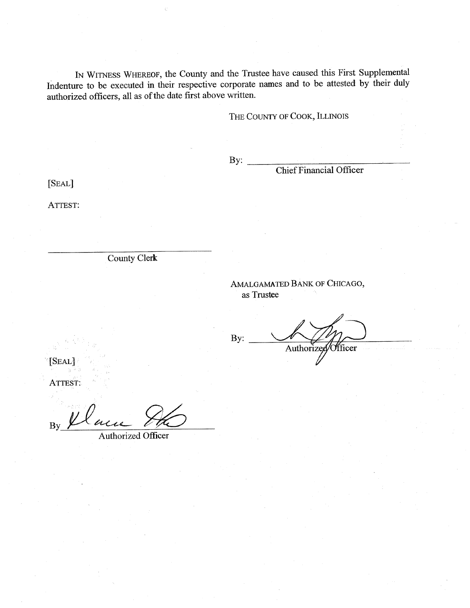IN WITNESS WHEREOF, the County and the Trustee have caused this First Supplemental Indenture to be executed in their respective corporate names and to be attested by their duly authorized officers, all as of the date first above written.

# THE COUNTY OF COOK, ILLINOIS

 $Bv:$ 

Chief Financial Officer

[SEAL}

ATTEST:

County Clerk

# AMALGAMATED BANK OF CHICAGO, as Trustee

By: Authorized Officer

[SEAL]

ATTEST:

By

Authorized Officer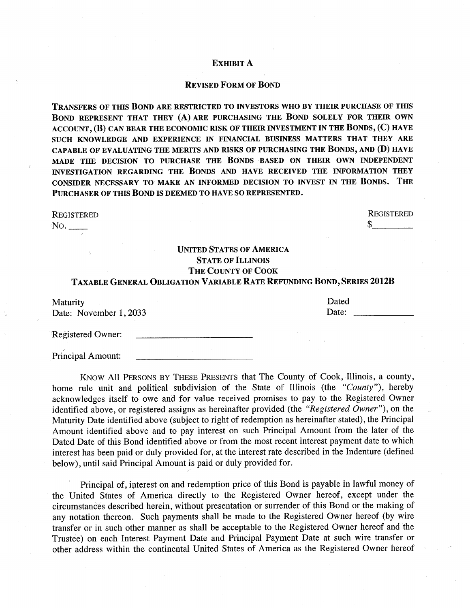### EXHIBIT A

### REVISED FORM OF BOND

TRANSFERS OF THIS BOND ARE RESTRICTED TO INVESTORS WHO BY THEIR PURCHASE OF THIS BOND REPRESENT THAT THEY (A) ARE PURCHASING THE BOND SOLELY FOR THEIR OWN ACCOUNT, (B) CAN BEAR THE ECONOMIC RISK OF THEIR INVESTMENT IN THE BONDS, (C) HAVE SUCH KNOWLEDGE AND EXPERIENCE IN FINANCIAL BUSINESS MATTERS THAT THEY ARE CAPABLE OF EVALUATING THE MERITS AND RISKS OF PURCHASING THE BONDS, AND (D) HAVE MADE THE DECISION TO PURCHASE THE BONDS BASED ON THEIR OWN INDEPENDENT INVESTIGATION REGARDING THE BONDS AND HAVE RECEIVED THE INFORMATION THEY CONSIDER NECESSARY TO MAKE AN INFORMED DECISION TO INVEST IN THE BONDS. THE PURCHASER OF THIS BOND IS DEEMED TO HAVE SO REPRESENTED.

#### REGISTERED

Principal Amount:

No.

REGISTERED  $\sim$ 

# UNITED STATES OF AMERICA STATE OF ILLINOIS THE COUNTY OF COOK TAXABLE GENERAL OBLIGATION VARIABLE RATE REFUNDING BOND,SERIES 2012B

| <b>Maturity</b>        | Dated |
|------------------------|-------|
| Date: November 1, 2033 | Date: |
| Registered Owner:      |       |

KNOW All PERSONS BY THESE PRESENTS that The County of Cook, Illinois, a county, home rule unit and political subdivision of the State of Illinois (the *"County"),* hereby acknowledges itself to owe and for value received promises to pay to the Registered Owner identified above, or registered assigns as hereinafter provided (the *"Registered Owner"),* on the Maturity Date identified above (subject to right of redemption as hereinafter stated), the Principal Amount identified above and to pay interest on such Principal Amount from the later of the Dated Date of this Bond identified above or from the most recent interest payment date to which interest has been paid or duly provided for, at the interest rate described in the Indenture (defined below), until said Principal Amount is paid or duly provided for.

Principal of, interest on and redemption price of this Bond is payable in lawful money of the United States of America directly to the Registered Owner hereof, except under the circumstances described herein, without presentation or surrender of this Bond or the making of any notation thereon. Such payments shall be made to the Registered Owner hereof (by wire transfer or in such other manner as shall be acceptable to the Registered Owner hereof and the Trustee) on each Interest Payment Date and Principal Payment Date at such wire transfer or other address within the continental United States of America as the Registered Owner hereof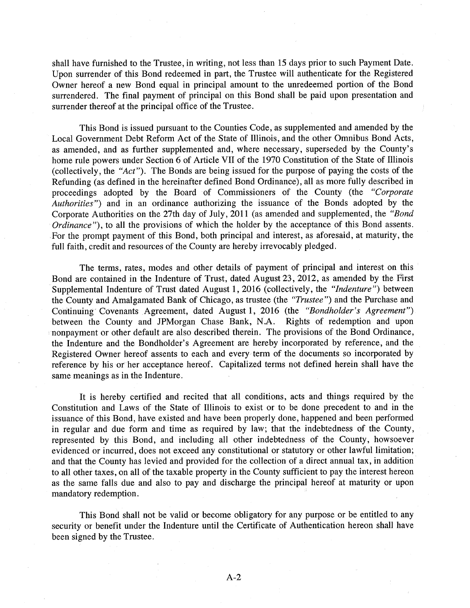shall have furnished to the Trustee, in writing, not less than 15 days prior to such Payment Date. Upon surrender of this Bond redeemed in part, the Trustee will authenticate for the Registered Owner hereof a new Bond equal in principal amount to the unredeemed portion of the Bond surrendered. The final payment of principal on this Bond shall be paid upon presentation and surrender thereof at the principal office of the Trustee.

This Bond is issued pursuant to the Counties Code, as supplemented and amended by the Local Government Debt Reform Act of the State of Illinois, and the other Omnibus Bond Acts, as amended, and as further supplemented and, where necessary, superseded by the County's home rule powers under Section 6 of Article VII of the 1970 Constitution of the State of Illinois (collectively, the *"Act").* The Bonds are being issued for the purpose of paying the costs of the Refunding (as defined in the hereinafter defined Bond Ordinance), all as more fully described in proceedings adopted by the Board of Commissioners of the County (the *"Corporate Authorities")* and in an ordinance authorizing the issuance of the Bonds adopted by the Corporate Authorities on the 27th day of July, 2011 (as amended and supplemented, the *"Bond Ordinance"*), to all the provisions of which the holder by the acceptance of this Bond assents. For the prompt payment of this Bond, both principal and interest, as aforesaid, at maturity, the full faith, credit and resources of the County are hereby irrevocably pledged.

The terms, rates, modes and other details of payment of principal and interest on this Bond are contained in the Indenture of Trust, dated August 23, 2012, as amended by the First Supplemental Indenture of Trust dated August 1, 2016 (collectively, the *"Indenture")* between the County and Amalgamated Bank of Chicago, as trustee (the *"Trustee")* and the Purchase and Continuing Covenants Agreement, dated August 1, 2016 (the *"Bondholder's Agreement")*  between the County and JPMorgan Chase Bank, N.A. Rights of redemption and upon nonpayment or other default are also described therein. The provisions of the Bond Ordinance, the Indenture and the Bondholder's Agreement are hereby incorporated by reference, and the Registered Owner hereof assents to each and every term of the documents so incorporated by reference by his or her acceptance hereof. Capitalized terms not defined herein shall have the same meanings as in the Indenture.

It is hereby certified and recited that all conditions, acts and things required by the Constitution and Laws of the State of Illinois to exist or to be done precedent to and in the issuance of this Bond, have existed and have been properly done, happened and been performed in regular and due form and time as required by law; that the indebtedness of the County, represented by this Bond, and including all other indebtedness of the County, howsoever evidenced or incurred, does not exceed any constitutional or statutory or other lawful limitation; and that the County has levied and provided for the collection of a direct annual tax, in addition to all other taxes, on all of the taxable property in the County sufficient to pay the interest hereon as the same falls due and also to pay and discharge the principal hereof at maturity or upon mandatory redemption.

This Bond shall not be valid or become obligatory for any purpose or be entitled to any security or benefit under the Indenture until the Certificate of Authentication hereon shall have been signed by the Trustee.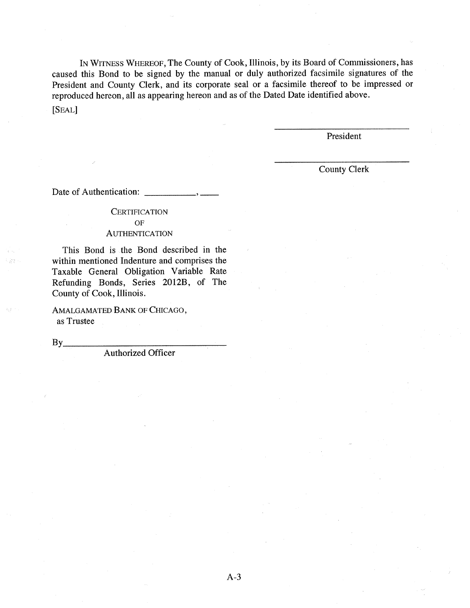IN WITNESS WHEREOF, The County of Cook, Illinois, by its Board of Commissioners, has caused this Bond to be signed by the manual or duly authorized facsimile signatures of the President and County Clerk, and its corporate seal or a facsimile thereof to be impressed or reproduced hereon, all as appearing hereon and as of the Dated Date identified above.

[SEAL]

President

County Clerk

Date of Authentication: , \_\_

### **CERTIFICATION** OF AUTHENTICATION

# This Bond is the Bond described in the within mentioned Indenture and comprises the

Taxable General Obligation Variable Rate Refunding Bonds, Series 2012B, of The County of Cook, Illinois.

AMALGAMATED BANK OF CHICAGO, as Trustee

 $By$ 

Authorized Officer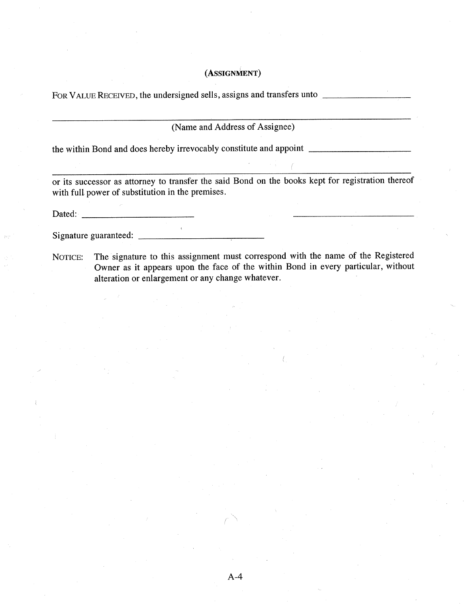# (ASSIGNMENT)

FOR VALUE RECEIVED, the undersigned sells, assigns and transfers unto \_

(Name and Address of Assignee)

the within Bond and does hereby irrevocably constitute and appoint \_

 $\chi$  .

or its successor as attorney to transfer the said Bond on the books kept for registration thereof with full power of substitution in the premises.

Dated:

Signature guaranteed: \_\_\_\_\_\_\_\_\_

NOTICE: The signature to this assignment must correspond with the name of the Registered Owner as it appears upon the face of the within Bond in every particular, without alteration or enlargement or any change whatever.

A-4